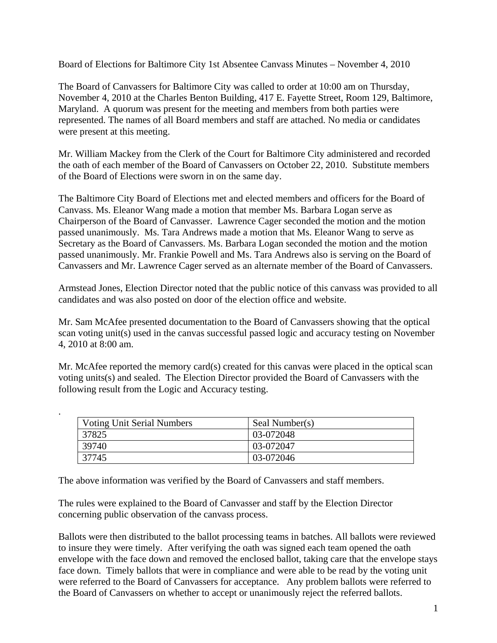Board of Elections for Baltimore City 1st Absentee Canvass Minutes – November 4, 2010

The Board of Canvassers for Baltimore City was called to order at 10:00 am on Thursday, November 4, 2010 at the Charles Benton Building, 417 E. Fayette Street, Room 129, Baltimore, Maryland. A quorum was present for the meeting and members from both parties were represented. The names of all Board members and staff are attached. No media or candidates were present at this meeting.

Mr. William Mackey from the Clerk of the Court for Baltimore City administered and recorded the oath of each member of the Board of Canvassers on October 22, 2010. Substitute members of the Board of Elections were sworn in on the same day.

The Baltimore City Board of Elections met and elected members and officers for the Board of Canvass. Ms. Eleanor Wang made a motion that member Ms. Barbara Logan serve as Chairperson of the Board of Canvasser. Lawrence Cager seconded the motion and the motion passed unanimously. Ms. Tara Andrews made a motion that Ms. Eleanor Wang to serve as Secretary as the Board of Canvassers. Ms. Barbara Logan seconded the motion and the motion passed unanimously. Mr. Frankie Powell and Ms. Tara Andrews also is serving on the Board of Canvassers and Mr. Lawrence Cager served as an alternate member of the Board of Canvassers.

Armstead Jones, Election Director noted that the public notice of this canvass was provided to all candidates and was also posted on door of the election office and website.

Mr. Sam McAfee presented documentation to the Board of Canvassers showing that the optical scan voting unit(s) used in the canvas successful passed logic and accuracy testing on November 4, 2010 at 8:00 am.

Mr. McAfee reported the memory card(s) created for this canvas were placed in the optical scan voting units(s) and sealed. The Election Director provided the Board of Canvassers with the following result from the Logic and Accuracy testing.

| <b>Voting Unit Serial Numbers</b> | Seal Number(s) |
|-----------------------------------|----------------|
| 37825                             | 03-072048      |
| 39740                             | 03-072047      |
| 37745                             | 03-072046      |

The above information was verified by the Board of Canvassers and staff members.

.

The rules were explained to the Board of Canvasser and staff by the Election Director concerning public observation of the canvass process.

Ballots were then distributed to the ballot processing teams in batches. All ballots were reviewed to insure they were timely. After verifying the oath was signed each team opened the oath envelope with the face down and removed the enclosed ballot, taking care that the envelope stays face down. Timely ballots that were in compliance and were able to be read by the voting unit were referred to the Board of Canvassers for acceptance. Any problem ballots were referred to the Board of Canvassers on whether to accept or unanimously reject the referred ballots.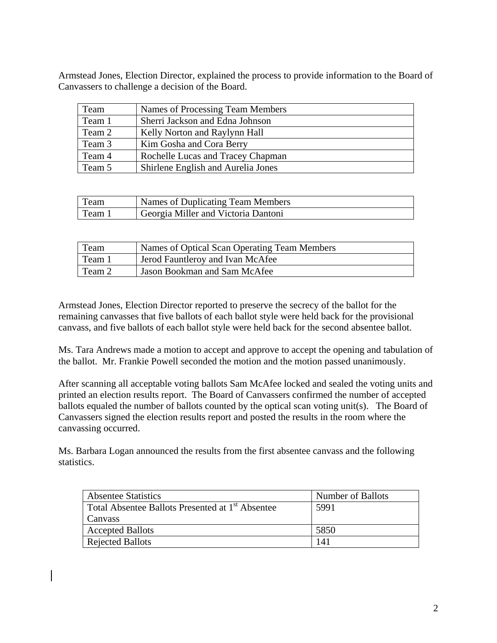Armstead Jones, Election Director, explained the process to provide information to the Board of Canvassers to challenge a decision of the Board.

| Team   | Names of Processing Team Members   |
|--------|------------------------------------|
| Team 1 | Sherri Jackson and Edna Johnson    |
| Team 2 | Kelly Norton and Raylynn Hall      |
| Team 3 | Kim Gosha and Cora Berry           |
| Team 4 | Rochelle Lucas and Tracey Chapman  |
| Team 5 | Shirlene English and Aurelia Jones |

| Team   | Names of Duplicating Team Members   |
|--------|-------------------------------------|
| Team 1 | Georgia Miller and Victoria Dantoni |

| Team   | Names of Optical Scan Operating Team Members |
|--------|----------------------------------------------|
| Team 1 | Jerod Fauntleroy and Ivan McAfee             |
| Team 2 | Jason Bookman and Sam McAfee                 |

Armstead Jones, Election Director reported to preserve the secrecy of the ballot for the remaining canvasses that five ballots of each ballot style were held back for the provisional canvass, and five ballots of each ballot style were held back for the second absentee ballot.

Ms. Tara Andrews made a motion to accept and approve to accept the opening and tabulation of the ballot. Mr. Frankie Powell seconded the motion and the motion passed unanimously.

After scanning all acceptable voting ballots Sam McAfee locked and sealed the voting units and printed an election results report. The Board of Canvassers confirmed the number of accepted ballots equaled the number of ballots counted by the optical scan voting unit(s). The Board of Canvassers signed the election results report and posted the results in the room where the canvassing occurred.

Ms. Barbara Logan announced the results from the first absentee canvass and the following statistics.

| <b>Absentee Statistics</b>                                   | Number of Ballots |
|--------------------------------------------------------------|-------------------|
| Total Absentee Ballots Presented at 1 <sup>st</sup> Absentee | 5991              |
| <b>Canvass</b>                                               |                   |
| <b>Accepted Ballots</b>                                      | 5850              |
| <b>Rejected Ballots</b>                                      | 141               |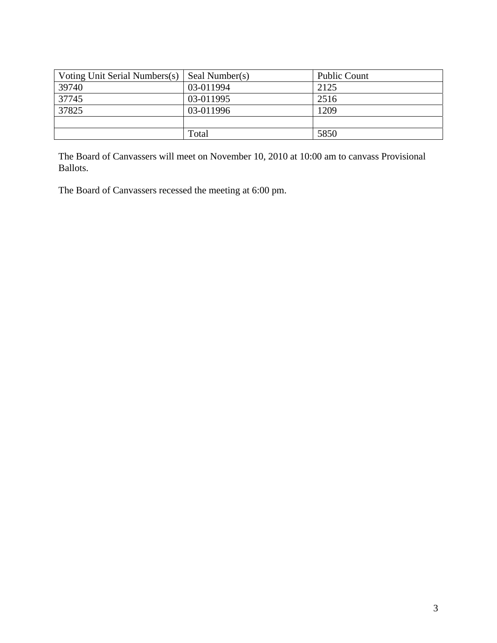| Voting Unit Serial Numbers(s) | Seal Number(s) | Public Count |
|-------------------------------|----------------|--------------|
| 39740                         | 03-011994      | 2125         |
| 37745                         | 03-011995      | 2516         |
| 37825                         | 03-011996      | 1209         |
|                               |                |              |
|                               | Total          | 5850         |

The Board of Canvassers will meet on November 10, 2010 at 10:00 am to canvass Provisional Ballots.

The Board of Canvassers recessed the meeting at 6:00 pm.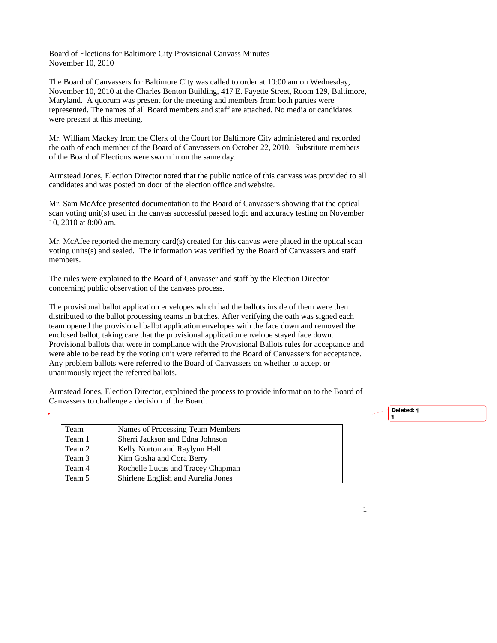Board of Elections for Baltimore City Provisional Canvass Minutes November 10, 2010

The Board of Canvassers for Baltimore City was called to order at 10:00 am on Wednesday, November 10, 2010 at the Charles Benton Building, 417 E. Fayette Street, Room 129, Baltimore, Maryland. A quorum was present for the meeting and members from both parties were represented. The names of all Board members and staff are attached. No media or candidates were present at this meeting.

Mr. William Mackey from the Clerk of the Court for Baltimore City administered and recorded the oath of each member of the Board of Canvassers on October 22, 2010. Substitute members of the Board of Elections were sworn in on the same day.

Armstead Jones, Election Director noted that the public notice of this canvass was provided to all candidates and was posted on door of the election office and website.

Mr. Sam McAfee presented documentation to the Board of Canvassers showing that the optical scan voting unit(s) used in the canvas successful passed logic and accuracy testing on November 10, 2010 at 8:00 am.

Mr. McAfee reported the memory card(s) created for this canvas were placed in the optical scan voting units(s) and sealed. The information was verified by the Board of Canvassers and staff members.

The rules were explained to the Board of Canvasser and staff by the Election Director concerning public observation of the canvass process.

The provisional ballot application envelopes which had the ballots inside of them were then distributed to the ballot processing teams in batches. After verifying the oath was signed each team opened the provisional ballot application envelopes with the face down and removed the enclosed ballot, taking care that the provisional application envelope stayed face down. Provisional ballots that were in compliance with the Provisional Ballots rules for acceptance and were able to be read by the voting unit were referred to the Board of Canvassers for acceptance. Any problem ballots were referred to the Board of Canvassers on whether to accept or unanimously reject the referred ballots.

Armstead Jones, Election Director, explained the process to provide information to the Board of Canvassers to challenge a decision of the Board.

| Team   | Names of Processing Team Members   |
|--------|------------------------------------|
| Team 1 | Sherri Jackson and Edna Johnson    |
| Team 2 | Kelly Norton and Raylynn Hall      |
| Team 3 | Kim Gosha and Cora Berry           |
| Team 4 | Rochelle Lucas and Tracey Chapman  |
| Team 5 | Shirlene English and Aurelia Jones |

**Deleted:** ¶

¶

1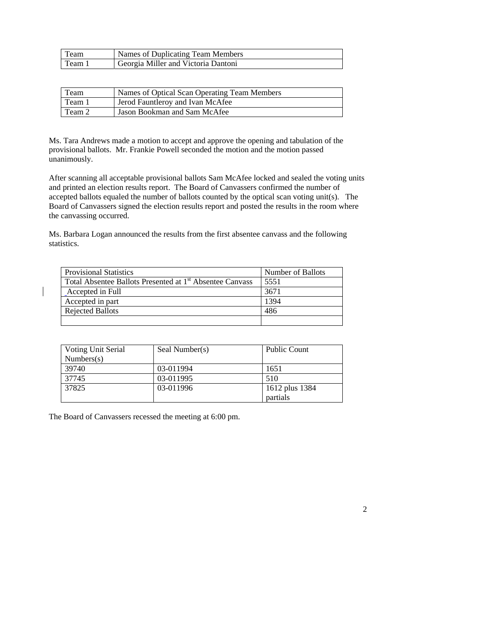| Team   | Names of Duplicating Team Members   |
|--------|-------------------------------------|
| Team i | Georgia Miller and Victoria Dantoni |

| Team   | Names of Optical Scan Operating Team Members |
|--------|----------------------------------------------|
| Team 1 | Jerod Fauntleroy and Ivan McAfee             |
| Team 2 | Jason Bookman and Sam McAfee                 |

Ms. Tara Andrews made a motion to accept and approve the opening and tabulation of the provisional ballots. Mr. Frankie Powell seconded the motion and the motion passed unanimously.

After scanning all acceptable provisional ballots Sam McAfee locked and sealed the voting units and printed an election results report. The Board of Canvassers confirmed the number of accepted ballots equaled the number of ballots counted by the optical scan voting unit(s). The Board of Canvassers signed the election results report and posted the results in the room where the canvassing occurred.

Ms. Barbara Logan announced the results from the first absentee canvass and the following statistics.

| <b>Provisional Statistics</b>                                        | Number of Ballots |
|----------------------------------------------------------------------|-------------------|
| Total Absentee Ballots Presented at 1 <sup>st</sup> Absentee Canvass | 5551              |
| Accepted in Full                                                     | 3671              |
| Accepted in part                                                     | 1394              |
| <b>Rejected Ballots</b>                                              | 486               |
|                                                                      |                   |

| Voting Unit Serial | Seal Number(s) | <b>Public Count</b> |
|--------------------|----------------|---------------------|
| Numbers(s)         |                |                     |
| 39740              | 03-011994      | 1651                |
| 37745              | 03-011995      | 510                 |
| 37825              | 03-011996      | 1612 plus 1384      |
|                    |                | partials            |

The Board of Canvassers recessed the meeting at 6:00 pm.

2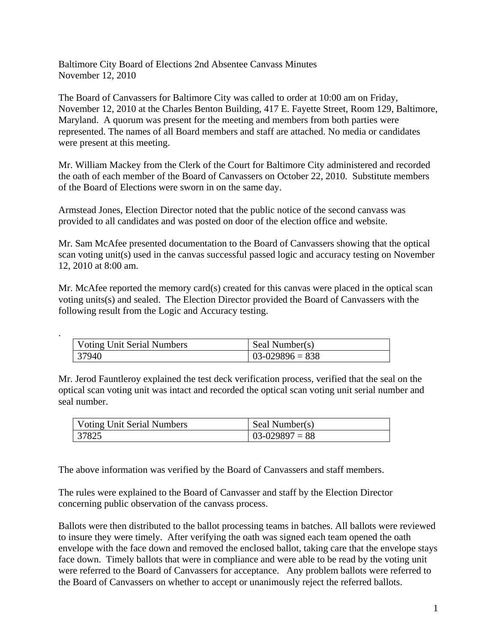Baltimore City Board of Elections 2nd Absentee Canvass Minutes November 12, 2010

The Board of Canvassers for Baltimore City was called to order at 10:00 am on Friday, November 12, 2010 at the Charles Benton Building, 417 E. Fayette Street, Room 129, Baltimore, Maryland. A quorum was present for the meeting and members from both parties were represented. The names of all Board members and staff are attached. No media or candidates were present at this meeting.

Mr. William Mackey from the Clerk of the Court for Baltimore City administered and recorded the oath of each member of the Board of Canvassers on October 22, 2010. Substitute members of the Board of Elections were sworn in on the same day.

Armstead Jones, Election Director noted that the public notice of the second canvass was provided to all candidates and was posted on door of the election office and website.

Mr. Sam McAfee presented documentation to the Board of Canvassers showing that the optical scan voting unit(s) used in the canvas successful passed logic and accuracy testing on November 12, 2010 at 8:00 am.

Mr. McAfee reported the memory card(s) created for this canvas were placed in the optical scan voting units(s) and sealed. The Election Director provided the Board of Canvassers with the following result from the Logic and Accuracy testing.

| Voting Unit Serial Numbers | Seal Number(s)  |
|----------------------------|-----------------|
| 37940                      | $03-029896=838$ |

.

Mr. Jerod Fauntleroy explained the test deck verification process, verified that the seal on the optical scan voting unit was intact and recorded the optical scan voting unit serial number and seal number.

| <b>Voting Unit Serial Numbers</b> | Seal Number(s)  |
|-----------------------------------|-----------------|
| 37825                             | $103-029897=88$ |

The above information was verified by the Board of Canvassers and staff members.

The rules were explained to the Board of Canvasser and staff by the Election Director concerning public observation of the canvass process.

Ballots were then distributed to the ballot processing teams in batches. All ballots were reviewed to insure they were timely. After verifying the oath was signed each team opened the oath envelope with the face down and removed the enclosed ballot, taking care that the envelope stays face down. Timely ballots that were in compliance and were able to be read by the voting unit were referred to the Board of Canvassers for acceptance. Any problem ballots were referred to the Board of Canvassers on whether to accept or unanimously reject the referred ballots.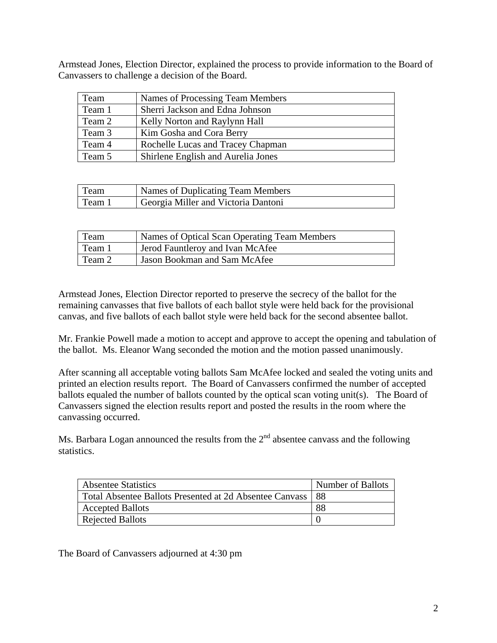Armstead Jones, Election Director, explained the process to provide information to the Board of Canvassers to challenge a decision of the Board.

| Team   | Names of Processing Team Members   |
|--------|------------------------------------|
| Team 1 | Sherri Jackson and Edna Johnson    |
| Team 2 | Kelly Norton and Raylynn Hall      |
| Team 3 | Kim Gosha and Cora Berry           |
| Team 4 | Rochelle Lucas and Tracey Chapman  |
| Team 5 | Shirlene English and Aurelia Jones |

| Team   | Names of Duplicating Team Members   |
|--------|-------------------------------------|
| Team 1 | Georgia Miller and Victoria Dantoni |

| Team   | Names of Optical Scan Operating Team Members |
|--------|----------------------------------------------|
| Team 1 | <b>Jerod Fauntleroy and Ivan McAfee</b>      |
| Team 2 | Jason Bookman and Sam McAfee                 |

Armstead Jones, Election Director reported to preserve the secrecy of the ballot for the remaining canvasses that five ballots of each ballot style were held back for the provisional canvas, and five ballots of each ballot style were held back for the second absentee ballot.

Mr. Frankie Powell made a motion to accept and approve to accept the opening and tabulation of the ballot. Ms. Eleanor Wang seconded the motion and the motion passed unanimously.

After scanning all acceptable voting ballots Sam McAfee locked and sealed the voting units and printed an election results report. The Board of Canvassers confirmed the number of accepted ballots equaled the number of ballots counted by the optical scan voting unit(s). The Board of Canvassers signed the election results report and posted the results in the room where the canvassing occurred.

Ms. Barbara Logan announced the results from the  $2<sup>nd</sup>$  absentee canvass and the following statistics.

| <b>Absentee Statistics</b>                              | Number of Ballots |
|---------------------------------------------------------|-------------------|
| Total Absentee Ballots Presented at 2d Absentee Canvass | -88               |
| <b>Accepted Ballots</b>                                 | 88                |
| Rejected Ballots                                        |                   |

The Board of Canvassers adjourned at 4:30 pm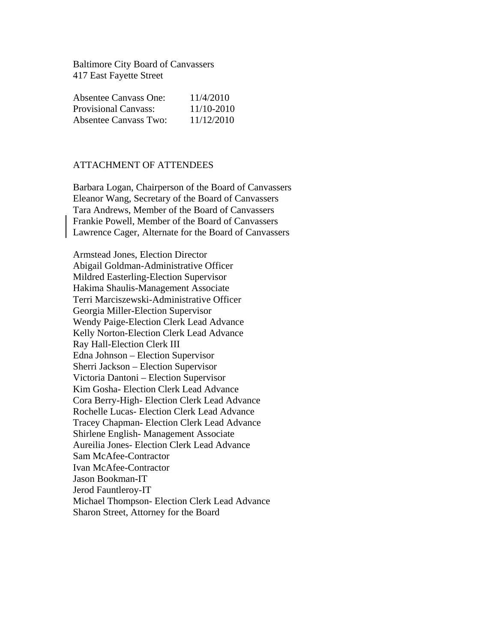Baltimore City Board of Canvassers 417 East Fayette Street

| <b>Absentee Canvass One:</b> | 11/4/2010  |
|------------------------------|------------|
| <b>Provisional Canvass:</b>  | 11/10-2010 |
| Absentee Canvass Two:        | 11/12/2010 |

## ATTACHMENT OF ATTENDEES

Barbara Logan, Chairperson of the Board of Canvassers Eleanor Wang, Secretary of the Board of Canvassers Tara Andrews, Member of the Board of Canvassers Frankie Powell, Member of the Board of Canvassers Lawrence Cager, Alternate for the Board of Canvassers

Armstead Jones, Election Director Abigail Goldman-Administrative Officer Mildred Easterling-Election Supervisor Hakima Shaulis-Management Associate Terri Marciszewski-Administrative Officer Georgia Miller-Election Supervisor Wendy Paige-Election Clerk Lead Advance Kelly Norton-Election Clerk Lead Advance Ray Hall-Election Clerk III Edna Johnson – Election Supervisor Sherri Jackson – Election Supervisor Victoria Dantoni – Election Supervisor Kim Gosha- Election Clerk Lead Advance Cora Berry-High- Election Clerk Lead Advance Rochelle Lucas- Election Clerk Lead Advance Tracey Chapman- Election Clerk Lead Advance Shirlene English- Management Associate Aureilia Jones- Election Clerk Lead Advance Sam McAfee-Contractor Ivan McAfee-Contractor Jason Bookman-IT Jerod Fauntleroy-IT Michael Thompson- Election Clerk Lead Advance Sharon Street, Attorney for the Board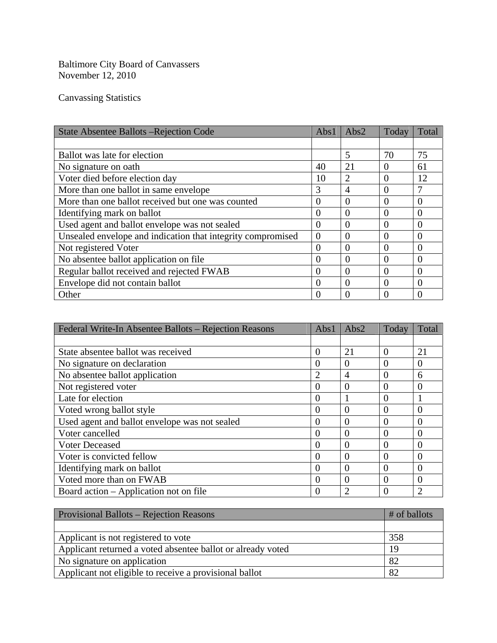Baltimore City Board of Canvassers November 12, 2010

Canvassing Statistics

| <b>State Absentee Ballots – Rejection Code</b>              | Abs1           | Abs2     | Today    | Total          |
|-------------------------------------------------------------|----------------|----------|----------|----------------|
|                                                             |                |          |          |                |
| Ballot was late for election                                |                | 5        | 70       | 75             |
| No signature on oath.                                       | 40             | 21       | $\Omega$ | 61             |
| Voter died before election day                              | 10             | 2        | $\Omega$ | 12             |
| More than one ballot in same envelope                       | 3              | 4        | $\Omega$ |                |
| More than one ballot received but one was counted           | $\Omega$       | $\Omega$ | $\Omega$ | $\Omega$       |
| Identifying mark on ballot                                  | $\overline{0}$ | 0        | $\theta$ | $\theta$       |
| Used agent and ballot envelope was not sealed               | $\Omega$       | $\Omega$ | $\Omega$ | $\theta$       |
| Unsealed envelope and indication that integrity compromised | $\overline{0}$ | 0        | $\Omega$ | $\Omega$       |
| Not registered Voter                                        | $\theta$       | $\Omega$ | $\Omega$ | $\theta$       |
| No absentee ballot application on file                      | $\theta$       | 0        | $\Omega$ | $\Omega$       |
| Regular ballot received and rejected FWAB                   | $\Omega$       | $\Omega$ | $\Omega$ | $\theta$       |
| Envelope did not contain ballot                             | $\overline{0}$ | $\theta$ | $\Omega$ | $\overline{0}$ |
| Other                                                       | $\Omega$       | $\Omega$ | $\Omega$ | $\theta$       |

| Federal Write-In Absentee Ballots – Rejection Reasons | Abs1           | Abs2           | Today    | Total          |
|-------------------------------------------------------|----------------|----------------|----------|----------------|
|                                                       |                |                |          |                |
| State absentee ballot was received                    | 0              | 21             | $\Omega$ | 21             |
| No signature on declaration                           | $\theta$       | $\Omega$       | $\Omega$ | $\Omega$       |
| No absentee ballot application                        | $\overline{2}$ | 4              | $\Omega$ | 6              |
| Not registered voter                                  | 0              | $\overline{0}$ | $\theta$ | $\overline{0}$ |
| Late for election                                     | $\overline{0}$ |                | $\theta$ |                |
| Voted wrong ballot style                              | 0              | 0              | $\theta$ | $\overline{0}$ |
| Used agent and ballot envelope was not sealed         | $\theta$       | $\theta$       | $\Omega$ | $\theta$       |
| Voter cancelled                                       | 0              | $\Omega$       | $\Omega$ | $\overline{0}$ |
| <b>Voter Deceased</b>                                 | 0              | $\theta$       | $\Omega$ | $\theta$       |
| Voter is convicted fellow                             | 0              | 0              | $\Omega$ | $\overline{0}$ |
| Identifying mark on ballot                            | 0              | $\theta$       | $\Omega$ | $\theta$       |
| Voted more than on FWAB                               | $\theta$       | $\Omega$       | $\Omega$ | $\overline{0}$ |
| Board action – Application not on file                | 0              | 2              | $\Omega$ | $\overline{2}$ |

| <b>Provisional Ballots – Rejection Reasons</b>              | $#$ of ballots |  |
|-------------------------------------------------------------|----------------|--|
|                                                             |                |  |
| Applicant is not registered to vote                         | 358            |  |
| Applicant returned a voted absentee ballot or already voted | 19             |  |
| No signature on application                                 | 82             |  |
| Applicant not eligible to receive a provisional ballot      | 82             |  |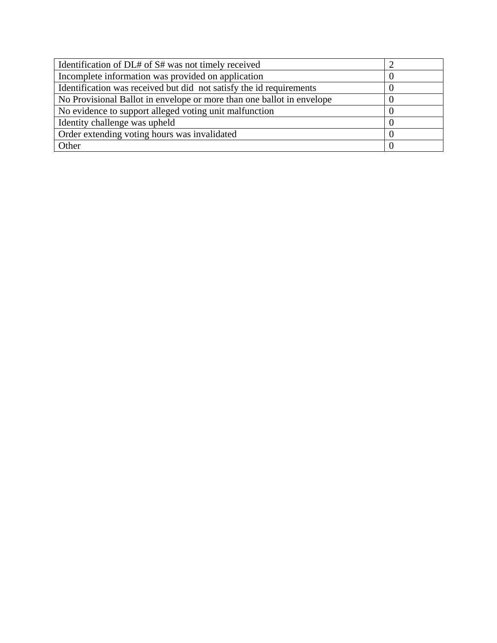| Identification of DL# of S# was not timely received                   |  |
|-----------------------------------------------------------------------|--|
| Incomplete information was provided on application                    |  |
| Identification was received but did not satisfy the id requirements   |  |
| No Provisional Ballot in envelope or more than one ballot in envelope |  |
| No evidence to support alleged voting unit malfunction                |  |
| Identity challenge was upheld                                         |  |
| Order extending voting hours was invalidated                          |  |
| Other                                                                 |  |